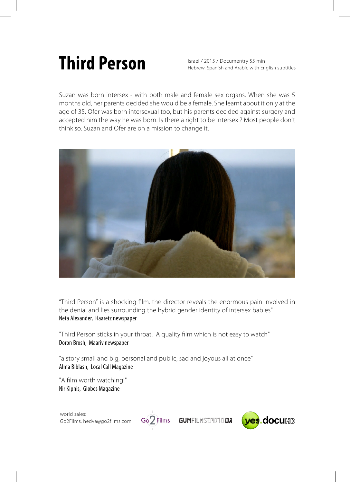## **Third Person**

Israel / 2015 / Documentry 55 min Hebrew, Spanish and Arabic with English subtitles

Suzan was born intersex - with both male and female sex organs. When she was 5 months old, her parents decided she would be a female. She learnt about it only at the age of 35. Ofer was born intersexual too, but his parents decided against surgery and accepted him the way he was born. Is there a right to be Intersex ? Most people don't think so. Suzan and Ofer are on a mission to change it.



"Third Person" is a shocking film. the director reveals the enormous pain involved in the denial and lies surrounding the hybrid gender identity of intersex babies" Neta Alexander, Haaretz newspaper

"Third Person sticks in your throat. A quality film which is not easy to watch" Doron Brosh, Maariv newspaper

"a story small and big, personal and public, sad and joyous all at once" Alma Biblash, Local Call Magazine

"A film worth watching!" Nir Kipnis, Globes Magazine

world sales: Go2Films, hedva@go2films.com



Go<sub>2</sub> Films **GUMFILMSD'UTDDA**